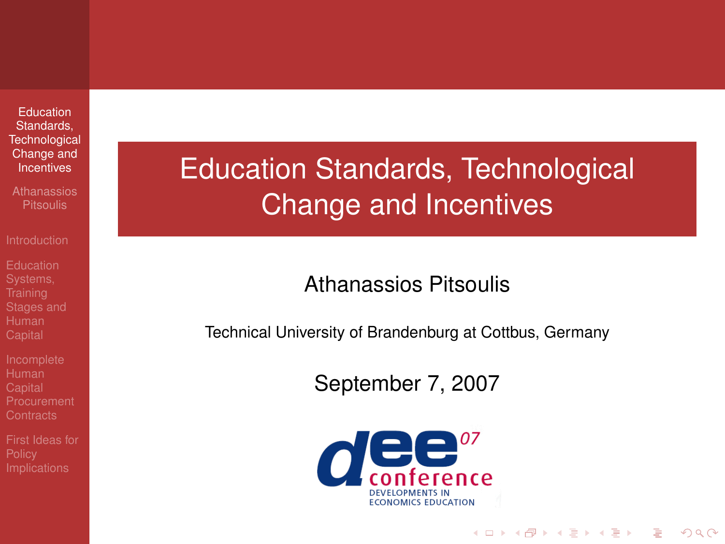Education **Standards [Technological](#page-10-0)** Change and **Incentives** 

<span id="page-0-0"></span>[First Ideas for](#page-9-0)

# Education Standards, Technological Change and Incentives

#### Athanassios Pitsoulis

Technical University of Brandenburg at Cottbus, Germany

September 7, 2007



**KOD KOD KED KED E VOLC**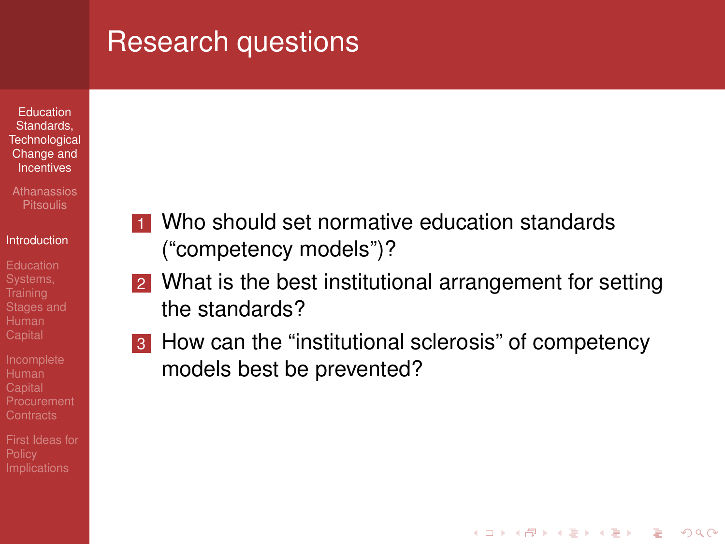#### Research questions

- Education **Standards [Technological](#page-0-0)** Change and **Incentives**
- 

#### [Introduction](#page-1-0)

- 
- **[Procurement](#page-6-0)**
- <span id="page-1-0"></span>[First Ideas for](#page-9-0)
- **1** Who should set normative education standards ("competency models")?
- 2 What is the best institutional arrangement for setting the standards?
- **3** How can the "institutional sclerosis" of competency models best be prevented?

**KOD KOD KED KED E VOLC**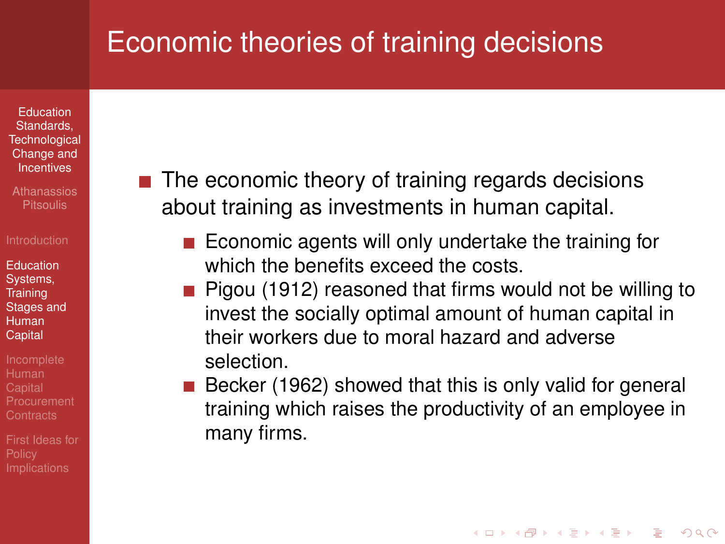#### Economic theories of training decisions

Education **Standards [Technological](#page-0-0)** Change and **Incentives** 

**Education** Systems, **Training** [Stages and](#page-2-0) Human **Capital** 

**[Procurement](#page-6-0)** 

<span id="page-2-0"></span>[First Ideas for](#page-9-0)

- $\blacksquare$  The economic theory of training regards decisions about training as investments in human capital.
	- Economic agents will only undertake the training for which the benefits exceed the costs.
	- **Pigou (1912) reasoned that firms would not be willing to** invest the socially optimal amount of human capital in their workers due to moral hazard and adverse selection.
	- Becker (1962) showed that this is only valid for general training which raises the productivity of an employee in many firms.

**KORKARA KERKER DI VOOR**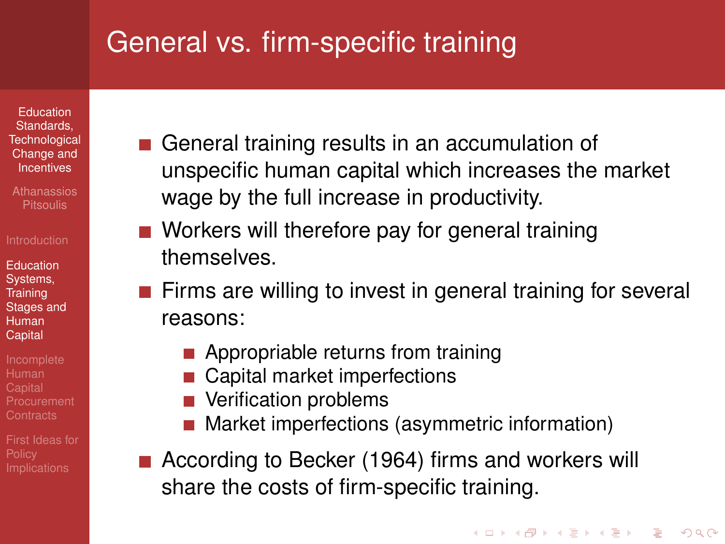## General vs. firm-specific training

Education **Standards [Technological](#page-0-0)** Change and **Incentives** 

**Education** Systems, **Training** [Stages and](#page-2-0) Human **Capital** 

**[Procurement](#page-6-0)** 

[First Ideas for](#page-9-0)

- General training results in an accumulation of unspecific human capital which increases the market wage by the full increase in productivity.
- Workers will therefore pay for general training themselves.
- **Firms are willing to invest in general training for several** reasons:
	- **Appropriable returns from training**
	- Capital market imperfections
	- **Verification problems**
	- **Market imperfections (asymmetric information)**

**KOD KOD KED KED E VOLC** 

■ According to Becker (1964) firms and workers will share the costs of firm-specific training.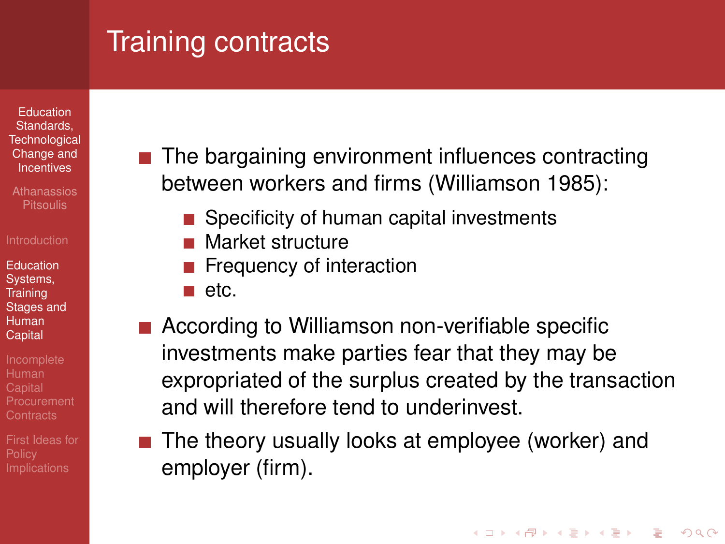# Training contracts

Education **Standards [Technological](#page-0-0)** Change and **Incentives** 

**Education** Systems, **Training** [Stages and](#page-2-0) Human **Capital** 

**[Procurement](#page-6-0)** 

[First Ideas for](#page-9-0)

- $\blacksquare$  The bargaining environment influences contracting between workers and firms (Williamson 1985):
	- Specificity of human capital investments
	- **Market structure**
	- **Frequency of interaction**
	- **■** etc.
- According to Williamson non-verifiable specific investments make parties fear that they may be expropriated of the surplus created by the transaction and will therefore tend to underinvest.
- The theory usually looks at employee (worker) and employer (firm).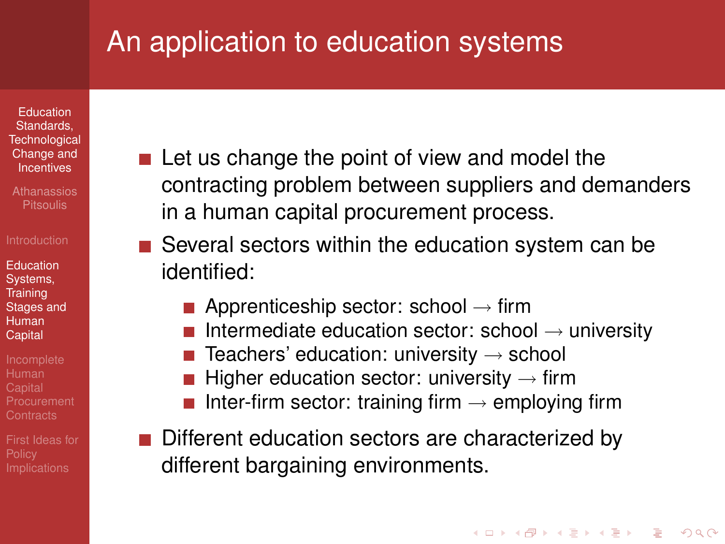## An application to education systems

Education **Standards [Technological](#page-0-0)** Change and **Incentives** 

**Education** Systems, **Training** [Stages and](#page-2-0) Human **Capital** 

**[Procurement](#page-6-0)** 

[First Ideas for](#page-9-0)

- $\blacksquare$  Let us change the point of view and model the contracting problem between suppliers and demanders in a human capital procurement process.
- Several sectors within the education system can be identified:
	- Apprenticeship sector: school  $\rightarrow$  firm
	- Intermediate education sector: school  $\rightarrow$  university
	- Teachers' education: university  $\rightarrow$  school
	- **Higher education sector: university**  $\rightarrow$  **firm**
	- Inter-firm sector: training firm  $\rightarrow$  employing firm
- Different education sectors are characterized by different bargaining environments.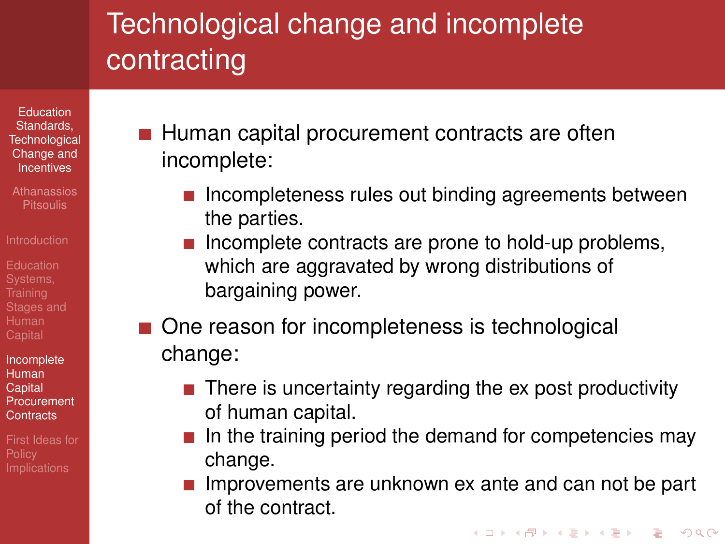# Technological change and incomplete contracting

Education **Standards [Technological](#page-0-0)** Change and **Incentives** 

Incomplete Human **Capital [Procurement](#page-6-0) Contracts** 

<span id="page-6-0"></span>[First Ideas for](#page-9-0)

- $\blacksquare$  Human capital procurement contracts are often incomplete:
	- $\blacksquare$  Incompleteness rules out binding agreements between the parties.
	- $\blacksquare$  Incomplete contracts are prone to hold-up problems, which are aggravated by wrong distributions of bargaining power.
- One reason for incompleteness is technological change:
	- $\blacksquare$  There is uncertainty regarding the ex post productivity of human capital.
	- In the training period the demand for competencies may change.
	- Improvements are unknown ex ante and can not be part of the contract.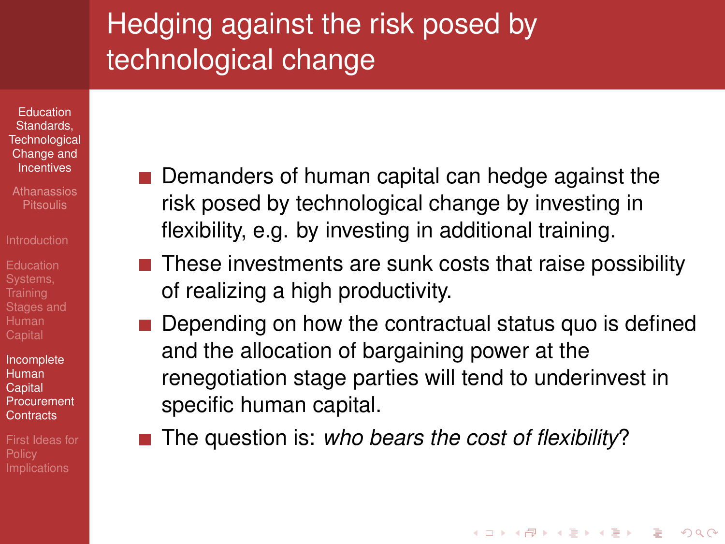# Hedging against the risk posed by technological change

Education **Standards [Technological](#page-0-0)** Change and **Incentives** 

Incomplete Human **Capital [Procurement](#page-6-0) Contracts** 

[First Ideas for](#page-9-0)

- **Demanders of human capital can hedge against the** risk posed by technological change by investing in flexibility, e.g. by investing in additional training.
- $\blacksquare$  These investments are sunk costs that raise possibility of realizing a high productivity.
- **Depending on how the contractual status quo is defined** and the allocation of bargaining power at the renegotiation stage parties will tend to underinvest in specific human capital.

**KOD KOD KED KED ORA** 

■ The question is: *who bears the cost of flexibility*?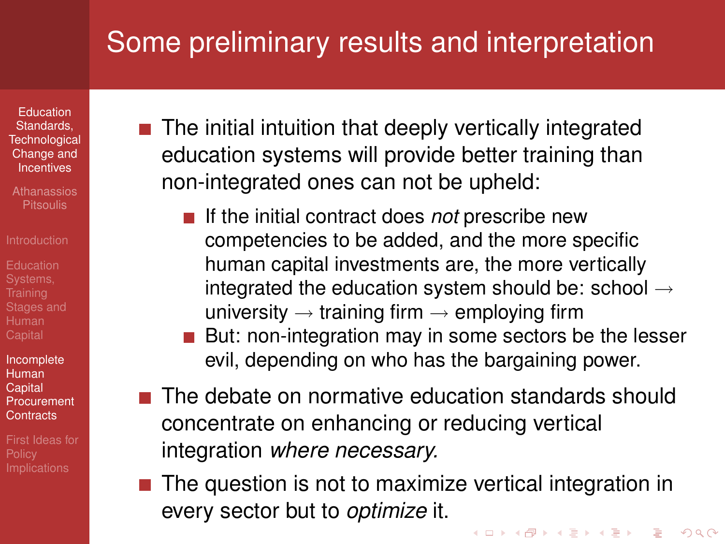# Some preliminary results and interpretation

Education **Standards [Technological](#page-0-0)** Change and **Incentives** 

Incomplete Human **Capital [Procurement](#page-6-0) Contracts** 

[First Ideas for](#page-9-0)

- $\blacksquare$  The initial intuition that deeply vertically integrated education systems will provide better training than non-integrated ones can not be upheld:
	- If the initial contract does *not* prescribe new competencies to be added, and the more specific human capital investments are, the more vertically integrated the education system should be: school  $\rightarrow$ university  $\rightarrow$  training firm  $\rightarrow$  employing firm
	- But: non-integration may in some sectors be the lesser evil, depending on who has the bargaining power.
- **The debate on normative education standards should** concentrate on enhancing or reducing vertical integration *where necessary.*
- $\blacksquare$  The question is not to maximize vertical integration in every sector but to *optimize* it.

**KORK ERKER ER AGA**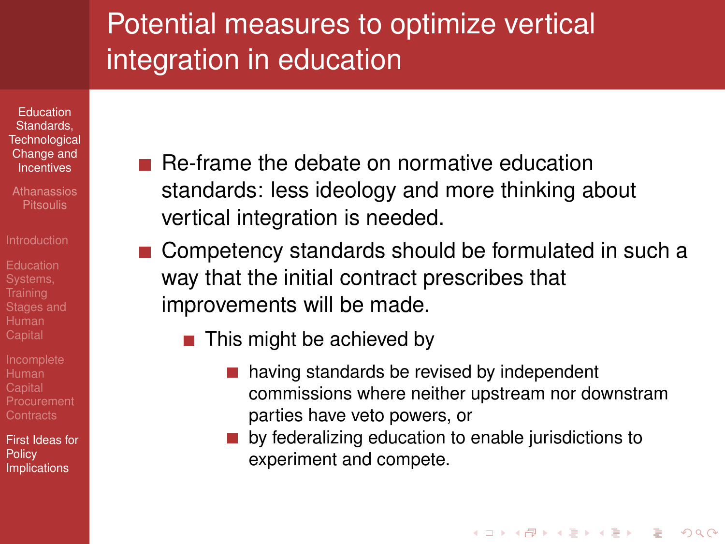# Potential measures to optimize vertical integration in education

Education **Standards [Technological](#page-0-0)** Change and **Incentives** 

<span id="page-9-0"></span>[First Ideas for](#page-9-0) **Policy** Implications

- $\blacksquare$  Re-frame the debate on normative education standards: less ideology and more thinking about vertical integration is needed.
- Competency standards should be formulated in such a way that the initial contract prescribes that improvements will be made.
	- $\blacksquare$  This might be achieved by
		- $\Box$ having standards be revised by independent commissions where neither upstream nor downstram parties have veto powers, or
		- by federalizing education to enable jurisdictions to experiment and compete.

**KORK ERKER ER AGA**